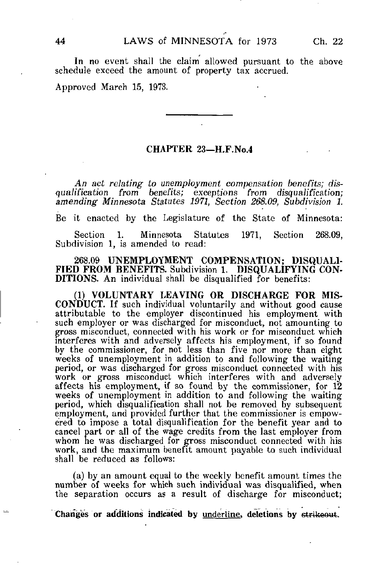In no event shall the claim allowed pursuant to the above schedule exceed the amount of property tax accrued.

Approved March 15, 1973.

## CHAPTER 23—H.F.No.4

An act relating to unemployment compensation benefits; disqualification from benefits; exceptions from disqualification; amending Minnesota Statutes 1971, Section 268.09, Subdivision 1.

Be it enacted by the Legislature of the State of Minnesota:

Section 1. Minnesota Statutes 1971, Section 268.09, Subdivision 1, is amended to read:

268.09 UNEMPLOYMENT COMPENSATION; DISQUALI-FIED FROM BENEFITS. Subdivision 1. DISQUALIFYING CON-DITIONS. An individual shall be disqualified for benefits:

(1) VOLUNTARY LEAVING OR DISCHARGE FOR MIS-CONDUCT. If such individual voluntarily and without good cause attributable to the employer discontinued his employment with such employer or was discharged for misconduct, not amounting to gross misconduct, connected with his work or for misconduct which interferes with and adversely affects his employment, if so found by the commissioner, for not less than five nor more than eight weeks of unemployment in addition to and following the waiting period, or was discharged for gross misconduct connected with his work or gross misconduct which interferes with and adversely affects his employment, if so found by the commissioner, for 12 weeks of unemployment in addition to and following the waiting period, which disqualification shall not be removed by subsequent employment, and provided further that the commissioner is empowered to impose a total disqualification for the benefit year and to cancel part or all of the wage credits from the last employer from whom he was discharged for gross misconduct connected with his work, and the maximum benefit amount payable to such individual shall be reduced as follows:

(a) by an amount equal to the weekly benefit amount times the number of weeks for which such individual was disqualified, when the separation occurs as a result of discharge for misconduct;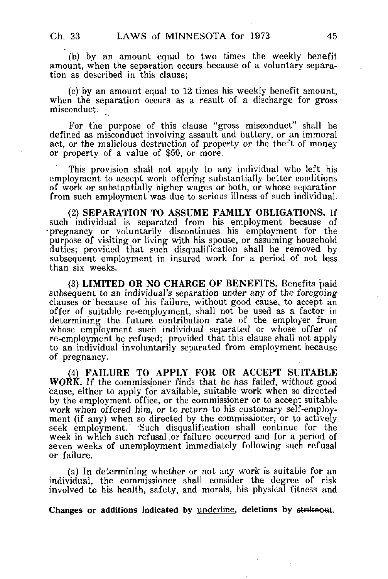(b) by an amount equal to two times the weekly benefit amount, when the separation occurs because of a voluntary separation as described in this clause;

(c) by an amount equal to 12 times his weekly benefit amount, when the separation occurs as a result of a discharge for gross misconduct.

For the purpose of this clause "gross misconduct" shall be defined as misconduct involving assault and battery, or an immoral act, or the malicious destruction of property or the theft of money or property of a value of \$50, or more.

This provision shall not apply to any individual who left his employment to accept work offering substantially better conditions of work or substantially higher wages or both, or whose separation from such employment was due to serious illness of such individual.

(2) SEPARATION TO ASSUME FAMILY OBLIGATIONS. If such individual is separated from his employment because of •pregnancy or voluntarily discontinues his employment for the purpose of visiting or living with his spouse, or assuming household duties; provided that such disqualification shall be removed by subsequent employment in insured work for a period of not less than six weeks.

(3) LIMITED OR NO CHARGE OF BENEFITS. Benefits paid subsequent to an individual's separation under any of the foregoing clauses or because of his failure, without good cause, to accept an offer of suitable re-employment, shall not be used as a factor in determining the future contribution rate of the employer from whose employment such individual separated or whose offer of re-employment he refused; provided that this clause shall not apply to an individual involuntarily separated from employment because of pregnancy.

(4) FAILURE TO APPLY FOR OR ACCEPT SUITABLE WORK. If the commissioner finds that he has failed, without good cause, either to apply for available, suitable work when so directed by the employment office, or the commissioner or to accept suitable work when offered him, or to return to his customary self-employment (if any) when so directed by the commissioner, or to actively seek employment. Such disqualification shall continue for the week in which such refusal ,or failure occurred and for a period of seven weeks of unemployment immediately following such refusal or failure.

(a) In determining whether or not any work is suitable for an individual, the commissioner shall consider the degree of risk involved to his health, safety, and morals, his physical fitness and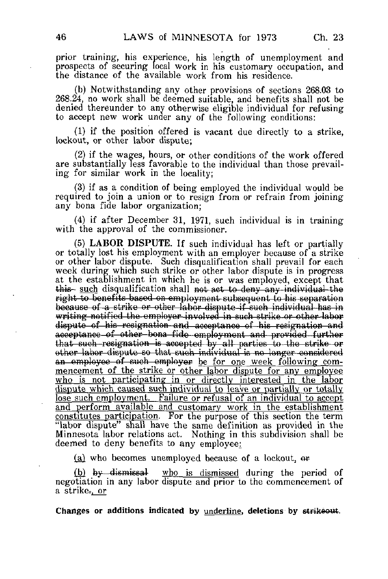prior training, his experience, his length of unemployment and prospects of securing local work in his customary occupation, and the distance of the available work from his residence.

(b) Notwithstanding any other provisions of sections 268.03 to 268.24, no work shall be deemed suitable, and benefits shall not be denied thereunder to any otherwise eligible individual for refusing to accept new work under any of the following conditions:

(1) if the position offered is vacant due directly to a strike, lockout, or other labor dispute;

(2) if the wages, hours, or other conditions of the work offered are substantially less favorable to the individual than those prevailing for similar work in the locality;

(3) if as a condition of being employed the individual would be required to join a union or to resign from or refrain from joining any bona fide labor organization;

(4) if after December 31, 1971, such individual is in training with the approval of the commissioner.

(5) LABOR DISPUTE. If such individual has left or partially or totally lost his employment with an employer because of a strike or other labor dispute. Such disqualification shall prevail for each week during which such strike or other labor dispute is in progress at the establishment in which he is or was employed, except that this- such disqualification shall not act to deny any individual the right to benefits based on employment subsequent to his separation because of a strike or other labor dispute if such individual has in writing notified the employer involved in such strike or other labor dispute of his resignation and acceptance of his resignation and acceptanco-of other-bona fido employment and provided -further that such resignation is accepted by all parties to the strike or other labor dispute BO that such individual is no longer considered an employee of such employer be for one week following commencement of the strike or other labor dispute for any employee who is not participating in or directly interested in the labor dispute which caused such individual to leave or partially or totally lose such employment. Failure or refusal of an individual to accept and perform available and customary work in the establishment constitutes participation. For the purpose of this section the term "labor dispute" shall have the same definition as provided in the Minnesota labor relations act. Nothing in this subdivision shall be deemed to deny benefits to any employee:

(a) who becomes unemployed because of a lockout, or

(b)  $by$ -dismissal who is dismissed during the period of negotiation in any labor dispute and prior to the commencement of a strike. or